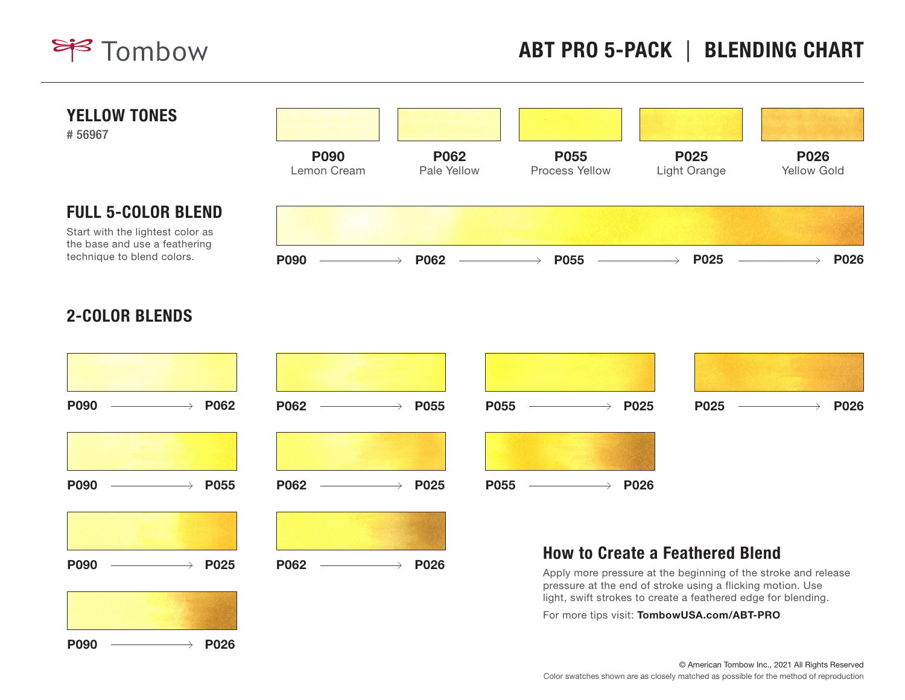



## 2-COLOR BLENDS



© American Tombow Inc., 2021 All Rights Reserved Color swatches shown are as closely matched as possible for the method of reproduction